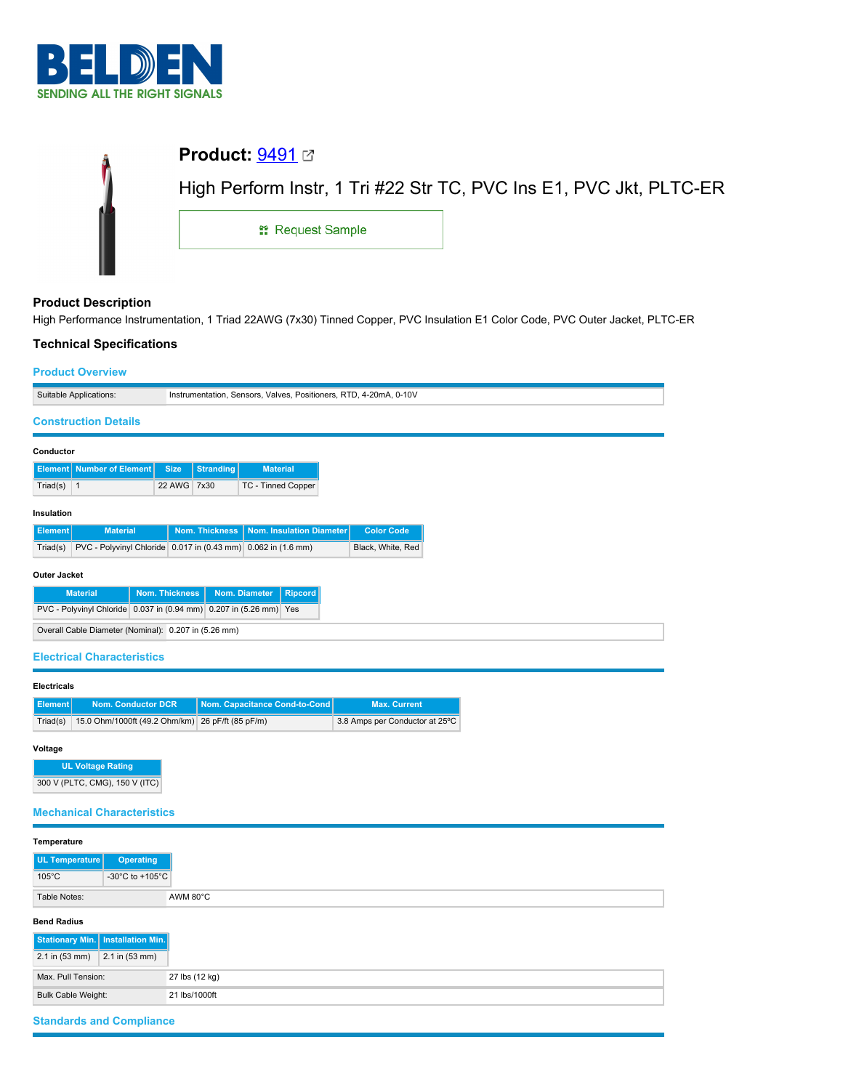

|                            | <b>Product:</b> $9491 \n\text{C}$ |                                                                    |
|----------------------------|-----------------------------------|--------------------------------------------------------------------|
|                            |                                   | High Perform Instr, 1 Tri #22 Str TC, PVC Ins E1, PVC Jkt, PLTC-ER |
|                            | <sub>11</sub> Request Sample      |                                                                    |
|                            |                                   |                                                                    |
| <b>Product Description</b> |                                   |                                                                    |

High Performance Instrumentation, 1 Triad 22AWG (7x30) Tinned Copper, PVC Insulation E1 Color Code, PVC Outer Jacket, PLTC-ER

## **Technical Specifications**

# **Product Overview**

| <b>Product Overview</b>                                                   |                                        |                                                                   |                                |  |
|---------------------------------------------------------------------------|----------------------------------------|-------------------------------------------------------------------|--------------------------------|--|
| Suitable Applications:                                                    |                                        | Instrumentation, Sensors, Valves, Positioners, RTD, 4-20mA, 0-10V |                                |  |
| <b>Construction Details</b>                                               |                                        |                                                                   |                                |  |
|                                                                           |                                        |                                                                   |                                |  |
| Conductor                                                                 |                                        |                                                                   |                                |  |
| <b>Element</b> Number of Element                                          | <b>Stranding</b><br><b>Size</b>        | <b>Material</b>                                                   |                                |  |
| Triad(s) $\vert$ 1                                                        | 22 AWG 7x30                            | TC - Tinned Copper                                                |                                |  |
| Insulation                                                                |                                        |                                                                   |                                |  |
| <b>Element</b><br><b>Material</b>                                         | <b>Nom. Thickness</b>                  | <b>Nom. Insulation Diameter</b>                                   | <b>Color Code</b>              |  |
| PVC - Polyvinyl Chloride 0.017 in (0.43 mm) 0.062 in (1.6 mm)<br>Triad(s) |                                        |                                                                   | Black, White, Red              |  |
| <b>Outer Jacket</b>                                                       |                                        |                                                                   |                                |  |
| <b>Material</b>                                                           | <b>Nom. Thickness</b><br>Nom. Diameter | <b>Ripcord</b>                                                    |                                |  |
| PVC - Polyvinyl Chloride 0.037 in (0.94 mm) 0.207 in (5.26 mm) Yes        |                                        |                                                                   |                                |  |
| Overall Cable Diameter (Nominal): 0.207 in (5.26 mm)                      |                                        |                                                                   |                                |  |
| <b>Electrical Characteristics</b>                                         |                                        |                                                                   |                                |  |
|                                                                           |                                        |                                                                   |                                |  |
| <b>Electricals</b>                                                        |                                        |                                                                   |                                |  |
| <b>Nom. Conductor DCR</b><br>Element                                      |                                        | Nom. Capacitance Cond-to-Cond                                     | <b>Max. Current</b>            |  |
| 15.0 Ohm/1000ft (49.2 Ohm/km) 26 pF/ft (85 pF/m)<br>Triad(s)              |                                        |                                                                   | 3.8 Amps per Conductor at 25°C |  |
| Voltage                                                                   |                                        |                                                                   |                                |  |
| <b>UL Voltage Rating</b>                                                  |                                        |                                                                   |                                |  |
| 300 V (PLTC, CMG), 150 V (ITC)                                            |                                        |                                                                   |                                |  |
|                                                                           |                                        |                                                                   |                                |  |

**Mechanical Characteristics**

| Temperature                                              |                |
|----------------------------------------------------------|----------------|
| UL Temperature<br><b>Operating</b>                       |                |
| $105^{\circ}$ C<br>-30 $^{\circ}$ C to +105 $^{\circ}$ C |                |
| Table Notes:                                             | AWM 80°C       |
| <b>Bend Radius</b>                                       |                |
| Stationary Min.   Installation Min.                      |                |
| 2.1 in (53 mm)<br>$2.1$ in $(53$ mm)                     |                |
| Max. Pull Tension:                                       | 27 lbs (12 kg) |
| <b>Bulk Cable Weight:</b>                                | 21 lbs/1000ft  |
| <b>Standards and Compliance</b>                          |                |